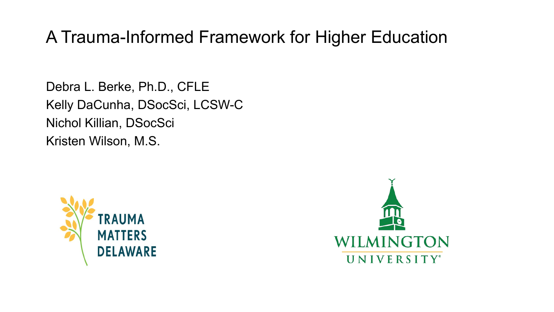### A Trauma-Informed Framework for Higher Education

Debra L. Berke, Ph.D., CFLE Kelly DaCunha, DSocSci, LCSW-C Nichol Killian, DSocSci Kristen Wilson, M.S.



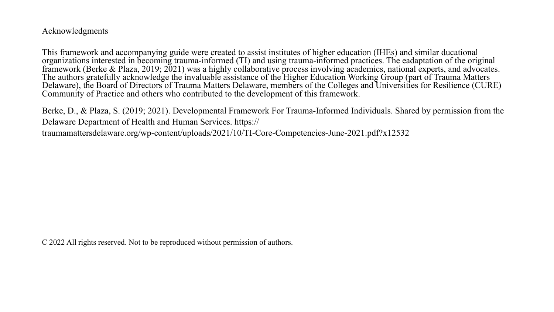Acknowledgments

This framework and accompanying guide were created to assist institutes of higher education (IHEs) and similar ducational organizations interested in becoming trauma-informed (TI) and using trauma-informed practices. The eadaptation of the original framework (Berke & Plaza, 2019; 2021) was a highly collaborative process involving academics, national experts, and advocates. The authors gratefully acknowledge the invaluable assistance of the Higher Education Working Group (part of Trauma Matters Delaware), the Board of Directors of Trauma Matters Delaware, members of the Colleges and Universities for Resilience (CURE) Community of Practice and others who contributed to the development of this framework.

Berke, D., & Plaza, S. (2019; 2021). Developmental Framework For Trauma-Informed Individuals. Shared by permission from the Delaware Department of Health and Human Services. https://

traumamattersdelaware.org/wp-content/uploads/2021/10/TI-Core-Competencies-June-2021.pdf?x12532

C 2022 All rights reserved. Not to be reproduced without permission of authors.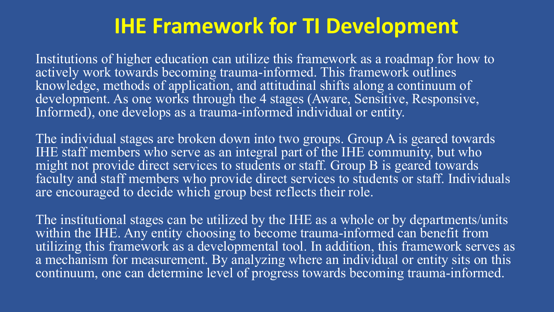## **IHE Framework for TI Development**

Institutions of higher education can utilize this framework as a roadmap for how to actively work towards becoming trauma-informed. This framework outlines knowledge, methods of application, and attitudinal shifts along a continuum of development. As one works through the 4 stages (Aware, Sensitive, Responsive, Informed), one develops as a trauma-informed individual or entity.

The individual stages are broken down into two groups. Group A is geared towards IHE staff members who serve as an integral part of the IHE community, but who might not provide direct services to students or staff. Group B is geared towards faculty and staff members who provide direct services to students or staff. Individuals are encouraged to decide which group best reflects their role.

The institutional stages can be utilized by the IHE as a whole or by departments/units within the IHE. Any entity choosing to become trauma-informed can benefit from utilizing this framework as a developmental tool. In addition, this framework serves as a mechanism for measurement. By analyzing where an individual or entity sits on this continuum, one can determine level of progress towards becoming trauma-informed.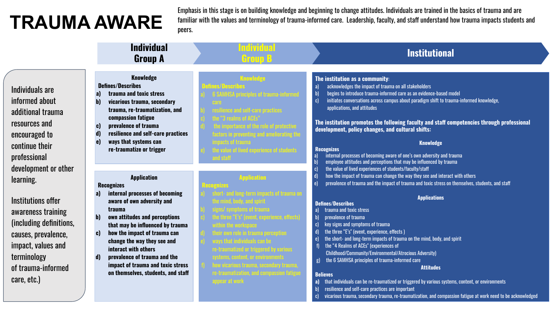# **TRAUMA AWARE**

Emphasis in this stage is on building knowledge and beginning to change attitudes. Individuals are trained in the basics of trauma and are familiar with the values and terminology of trauma-informed care. Leadership, faculty, and staff understand how trauma impacts students and peers.

|                                                                                                                                                                                                           | <b>Individual</b><br><b>Group A</b>                                                                                                                                                                                                                                                                                                                                                                                        | пине<br><b>Institutional</b><br>Group B                                                                                                                                                                                                                                                                                                                                                                                                                                                                                                                                                                                                                                                                                                                                                                                                                                                                                                                                                                                                                                                            |
|-----------------------------------------------------------------------------------------------------------------------------------------------------------------------------------------------------------|----------------------------------------------------------------------------------------------------------------------------------------------------------------------------------------------------------------------------------------------------------------------------------------------------------------------------------------------------------------------------------------------------------------------------|----------------------------------------------------------------------------------------------------------------------------------------------------------------------------------------------------------------------------------------------------------------------------------------------------------------------------------------------------------------------------------------------------------------------------------------------------------------------------------------------------------------------------------------------------------------------------------------------------------------------------------------------------------------------------------------------------------------------------------------------------------------------------------------------------------------------------------------------------------------------------------------------------------------------------------------------------------------------------------------------------------------------------------------------------------------------------------------------------|
| Individuals are<br>informed about<br>additional trauma<br>resources and<br>encouraged to<br>continue their<br>professional                                                                                | <b>Knowledge</b><br><b>Defines/Describes</b><br>trauma and toxic stress<br>a <sub>l</sub><br>vicarious trauma, secondary<br>b)<br>trauma, re-traumatization, and<br>compassion fatigue<br>prevalence of trauma<br>C)<br>resilience and self-care practices<br>$\mathbf{d}$<br>ways that systems can<br>e)<br>re-traumatize or trigger                                                                                      | <b>Knowledge</b><br>The institution as a community:<br>acknowledges the impact of trauma on all stakeholders<br>a)<br>$\mathbf{b}$<br>begins to introduce trauma-informed care as an evidence-based model<br>initiates conversations across campus about paradigm shift to trauma-informed knowledge,<br>c)<br>applications, and attitudes<br>The institution promotes the following faculty and staff competencies through professional<br>development, policy changes, and cultural shifts:<br><b>Knowledge</b><br><b>Recognizes</b><br>internal processes of becoming aware of one's own adversity and trauma<br><b>and staw</b><br>$b$<br>employee attitudes and perceptions that may be influenced by trauma                                                                                                                                                                                                                                                                                                                                                                                  |
| development or other<br>learning.<br>Institutions offer<br>awareness training<br>(including definitions,<br>causes, prevalence,<br>impact, values and<br>terminology<br>of trauma-informed<br>care, etc.) | <b>Application</b><br><b>Recognizes</b><br>internal processes of becoming<br>a)<br>aware of own adversity and<br>trauma<br>own attitudes and perceptions<br>b)<br>that may be influenced by trauma<br>how the impact of trauma can<br>C)<br>change the way they see and<br>interact with others<br>prevalence of trauma and the<br>$\mathbf{d}$<br>impact of trauma and toxic stress<br>on themselves, students, and staff | the value of lived experiences of students/faculty/staff<br>how the impact of trauma can change the way they see and interact with others<br><b>Inplicatio</b><br>prevalence of trauma and the impact of trauma and toxic stress on themselves, students, and staff<br>$\epsilon$<br><b>Applications</b><br><b>Defines/Describes</b><br>trauma and toxic stress<br>a)<br>prevalence of trauma<br>key signs and symptoms of trauma<br>the three "E's" (event, experience, effects)<br>the short- and long-term impacts of trauma on the mind, body, and spirit<br>the "4 Realms of ACEs" (experiences of<br>Childhood/Community/Environmental/Atrocious Adversity)<br>the 6 SAMHSA principles of trauma-informed care<br>g<br><b>Attitudes</b><br><b>Believes</b><br>re-traumatization, and n<br>appear at work<br>that individuals can be re-traumatized or triggered by various systems, content, or environments<br>a)<br>resilience and self-care practices are important<br>vicarious trauma, secondary trauma, re-traumatization, and compassion fatigue at work need to be acknowledged<br>c |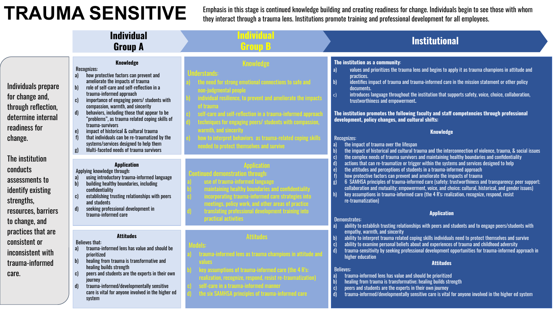### **TRAUMA SENSITIVE**

Emphasis in this stage is continued knowledge building and creating readiness for change. Individuals begin to see those with whom they interact through a trauma lens. Institutions promote training and professional development for all employees.

|                                                                                                                                                                                                                                                                                                                                      | <b>Individual</b><br><b>Group A</b>                                                                                                                                                                                                                                                                                                                                                                                                                                                                                                                                                                                                 | ndividua<br>Group B                                                                                                                                                                                                                      | <b>Institutional</b>                                                                                                                                                                                                                                                                                                                                                                                                                                                                                                                                                                                                                                                                                                                                                                                                                                                                                                                                                                                                                                                                                                                                                                                                                                                                                                                                                                                                                                                                                                                                                                                                                                                                                                                                                                                                                                                                                                                                                                                                                                                                                                                                                                                                                                                                                                                                                |
|--------------------------------------------------------------------------------------------------------------------------------------------------------------------------------------------------------------------------------------------------------------------------------------------------------------------------------------|-------------------------------------------------------------------------------------------------------------------------------------------------------------------------------------------------------------------------------------------------------------------------------------------------------------------------------------------------------------------------------------------------------------------------------------------------------------------------------------------------------------------------------------------------------------------------------------------------------------------------------------|------------------------------------------------------------------------------------------------------------------------------------------------------------------------------------------------------------------------------------------|---------------------------------------------------------------------------------------------------------------------------------------------------------------------------------------------------------------------------------------------------------------------------------------------------------------------------------------------------------------------------------------------------------------------------------------------------------------------------------------------------------------------------------------------------------------------------------------------------------------------------------------------------------------------------------------------------------------------------------------------------------------------------------------------------------------------------------------------------------------------------------------------------------------------------------------------------------------------------------------------------------------------------------------------------------------------------------------------------------------------------------------------------------------------------------------------------------------------------------------------------------------------------------------------------------------------------------------------------------------------------------------------------------------------------------------------------------------------------------------------------------------------------------------------------------------------------------------------------------------------------------------------------------------------------------------------------------------------------------------------------------------------------------------------------------------------------------------------------------------------------------------------------------------------------------------------------------------------------------------------------------------------------------------------------------------------------------------------------------------------------------------------------------------------------------------------------------------------------------------------------------------------------------------------------------------------------------------------------------------------|
| Individuals prepare<br>for change and,<br>through reflection,<br>determine internal<br>readiness for<br>change.<br>The institution<br>conducts<br>assessments to<br>identify existing<br>strengths,<br>resources, barriers<br>to change, and<br>practices that are<br>consistent or<br>inconsistent with<br>trauma-informed<br>care. | <b>Knowledge</b><br>Recognizes:<br>how protective factors can prevent and<br>a)<br>ameliorate the impacts of trauma<br>role of self-care and self-reflection in a<br>$\mathbf{b}$<br>trauma-informed approach<br>importance of engaging peers/ students with<br>compassion, warmth, and sincerity<br>behaviors, including those that appear to be<br>d)<br>"problems", as trauma related coping skills of<br>trauma-survivors<br>impact of historical & cultural trauma<br>$\mathbf{e}$<br>that individuals can be re-traumatized by the<br>systems/services designed to help them<br>Multi-faceted needs of trauma survivors<br>g) | <b>Knowledge</b><br>e need for strong emotional connecti<br>of trauma<br>ques for engaging peers/ students with<br>warmth, and sincerity -<br>w to interpret behaviors <sup>as trauma-rela</sup><br>ed to protect themselves and survive | The institution as a community:<br>values and prioritizes the trauma lens and begins to apply it as trauma champions in attitude and<br>a)<br>practices.<br>identifies impact of trauma and trauma-informed care in the mission statement or other policy<br>  <sub>b</sub>  <br>documents.<br>introduces language throughout the institution that supports safety, voice, choice, collaboration,<br> c <br>trustworthiness and empowerment.<br>The institution promotes the following faculty and staff competencies through professional<br>development, policy changes, and cultural shifts:<br><b>Knowledge</b><br>Recognizes:<br>the impact of trauma over the lifespan<br>the impact of historical and cultural trauma and the interconnection of violence, trauma, & social issues<br>the complex needs of trauma survivors and maintaining healthy boundaries and confidentiality<br>actions that can re-traumatize or trigger within the systems and services designed to help<br>the attitudes and perceptions of students in a trauma-informed approach<br>how protective factors can prevent and ameliorate the impacts of trauma<br>6 SAMHSA principles of trauma-informed care (safety; trustworthiness and transparency; peer support;<br><b>g</b><br>collaboration and mutuality; empowerment, voice, and choice; cultural, historical, and gender issues)<br>key assumptions in trauma-informed care (the 4 R's: realization, recognize, respond, resist<br> h <br>re-traumatization)<br><b>Application</b><br>Demonstrates:<br>ability to establish trusting relationships with peers and students and to engage peers/students with<br>empathy, warmth, and sincerity<br>ability to interpret trauma related coping skills individuals need to protect themselves and survive<br>ability to examine personal beliefs about and experiences of trauma and childhood adversity<br>trauma-sensitivity by seeking professional development opportunities for trauma-informed approach in<br>higher education<br><b>Attitudes</b><br><b>Believes:</b><br>trauma-informed lens has value and should be prioritized<br>healing from trauma is transformative; healing builds strength<br>peers and students are the experts in their own journey<br>trauma-informed/developmentally sensitive care is vital for anyone involved in the higher ed system |
|                                                                                                                                                                                                                                                                                                                                      | <b>Application</b><br>Applying knowledge through:<br>using introductory trauma-informed language<br>a<br>$\overline{b}$<br>building healthy boundaries, including<br>confidentiality<br>establishing trusting relationships with peers<br>and students<br>seeking professional development in<br>d)<br>trauma-informed care                                                                                                                                                                                                                                                                                                         | f trauma-informed i<br>gs, policy work, and other areas of pri<br>.<br>ting professional development trai<br>practical activities                                                                                                        |                                                                                                                                                                                                                                                                                                                                                                                                                                                                                                                                                                                                                                                                                                                                                                                                                                                                                                                                                                                                                                                                                                                                                                                                                                                                                                                                                                                                                                                                                                                                                                                                                                                                                                                                                                                                                                                                                                                                                                                                                                                                                                                                                                                                                                                                                                                                                                     |
|                                                                                                                                                                                                                                                                                                                                      | <b>Attitudes</b><br><b>Believes that:</b><br>trauma-informed lens has value and should be<br>a)<br>prioritized<br>healing from trauma is transformative and<br>b<br>healing builds strength<br>peers and students are the experts in their own<br>c)<br>journey<br>trauma-informed/developmentally sensitive<br>d)<br>care is vital for anyone involved in the higher ed<br>system                                                                                                                                                                                                                                                  | <b>Attitudes</b><br>ation, recognize, respond, resist re-traumatiz<br>are in a trauma-informed man<br>the six SAMHSA principles of trauma-inform                                                                                         |                                                                                                                                                                                                                                                                                                                                                                                                                                                                                                                                                                                                                                                                                                                                                                                                                                                                                                                                                                                                                                                                                                                                                                                                                                                                                                                                                                                                                                                                                                                                                                                                                                                                                                                                                                                                                                                                                                                                                                                                                                                                                                                                                                                                                                                                                                                                                                     |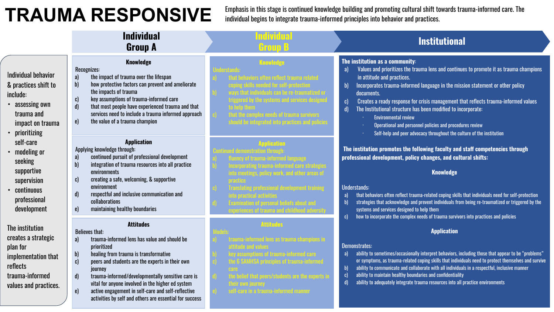### **TRAUMA RESPONSIVE**

Emphasis in this stage is continued knowledge building and promoting cultural shift towards trauma-informed care. The individual begins to integrate trauma-informed principles into behavior and practices.

|                                                                                                                                                                                                                                                     | <b>Individual</b><br><b>Group A</b>                                                                                                                                                                                                                                                                                                                                                                                                                                                        | ndividu<br>Group B                  | <b>Institutional</b>                                                                                                                                                                                                                                                                                                                                                                                                                                                                                                                                                                                                                                                                                                                                                                                                                                                                                                                                                                                                                                                                                                                                                                                                            |
|-----------------------------------------------------------------------------------------------------------------------------------------------------------------------------------------------------------------------------------------------------|--------------------------------------------------------------------------------------------------------------------------------------------------------------------------------------------------------------------------------------------------------------------------------------------------------------------------------------------------------------------------------------------------------------------------------------------------------------------------------------------|-------------------------------------|---------------------------------------------------------------------------------------------------------------------------------------------------------------------------------------------------------------------------------------------------------------------------------------------------------------------------------------------------------------------------------------------------------------------------------------------------------------------------------------------------------------------------------------------------------------------------------------------------------------------------------------------------------------------------------------------------------------------------------------------------------------------------------------------------------------------------------------------------------------------------------------------------------------------------------------------------------------------------------------------------------------------------------------------------------------------------------------------------------------------------------------------------------------------------------------------------------------------------------|
| Individual behavior<br>& practices shift to<br>include:<br>• assessing own<br>trauma and<br>impact on trauma<br>• prioritizing<br>self-care<br>• modeling or<br>seeking<br>supportive<br>supervision<br>• continuous<br>professional<br>development | <b>Knowledge</b><br>Recognizes:<br>the impact of trauma over the lifespan<br>a)<br>$\mathbf{b}$<br>how protective factors can prevent and ameliorate<br>the impacts of trauma<br>key assumptions of trauma-informed care<br>C)<br>that most people have experienced trauma and that<br>$\mathbf{d}$<br>services need to include a trauma informed approach<br>the value of a trauma champion<br>$\epsilon$                                                                                 |                                     | The institution as a community:<br>Values and prioritizes the trauma lens and continues to promote it as trauma champions<br>a)<br>in attitude and practices.<br>Incorporates trauma-informed language in the mission statement or other policy<br>$\mathbf{b}$<br>documents.<br>Creates a ready response for crisis management that reflects trauma-informed values<br>$\mathbf{c}$<br>The Institutional structure has been modified to incorporate:<br>$\mathbf{d}$<br><b>Environmental review</b><br>Operational and personnel policies and procedures review<br>Self-help and peer advocacy throughout the culture of the institution<br>The institution promotes the following faculty and staff competencies through<br>professional development, policy changes, and cultural shifts:<br><b>Knowledge</b><br><b>Understands:</b><br>that behaviors often reflect trauma-related coping skills that individuals need for self-protection<br>a)<br>strategies that acknowledge and prevent individuals from being re-traumatized or triggered by the<br>$\mathbf{b}$<br>systems and services designed to help them<br>how to incorporate the complex needs of trauma survivors into practices and policies<br>$\mathbf{c}$ |
|                                                                                                                                                                                                                                                     | <b>Application</b><br>Applying knowledge through:<br>continued pursuit of professional development<br>$\mathbf{a}$<br>$\mathbf{b}$<br>integration of trauma resources into all practice<br>environments<br>creating a safe, welcoming, & supportive<br>C)<br>environment<br>respectful and inclusive communication and<br>$\mathbf{d}$<br>collaborations<br>maintaining healthy boundaries<br>e)                                                                                           |                                     |                                                                                                                                                                                                                                                                                                                                                                                                                                                                                                                                                                                                                                                                                                                                                                                                                                                                                                                                                                                                                                                                                                                                                                                                                                 |
| The institution<br>creates a strategic<br>plan for<br>implementation that<br>reflects<br>trauma-informed<br>values and practices.                                                                                                                   | <b>Attitudes</b><br><b>Believes that:</b><br>trauma-informed lens has value and should be<br>a)<br>prioritized<br>healing from trauma is transformative<br>b)<br>peers and students are the experts in their own<br>C)<br>journey<br>trauma-informed/developmentally sensitive care is<br>$\mathbf{d}$<br>vital for anyone involved in the higher ed system<br>active engagement in self-care and self-reflective<br>$\epsilon$<br>activities by self and others are essential for success | <b>Attitudes</b><br>eir own journey | <b>Application</b><br><b>Demonstrates:</b><br>ability to sometimes/occasionally interpret behaviors, including those that appear to be "problems"<br>a)<br>or symptoms, as trauma-related coping skills that individuals need to protect themselves and survive<br>ability to communicate and collaborate with all individuals in a respectful, inclusive manner<br>ability to maintain healthy boundaries and confidentiality<br>$\mathbf{c}$<br>$\mathbf{d}$<br>ability to adequately integrate trauma resources into all practice environments                                                                                                                                                                                                                                                                                                                                                                                                                                                                                                                                                                                                                                                                               |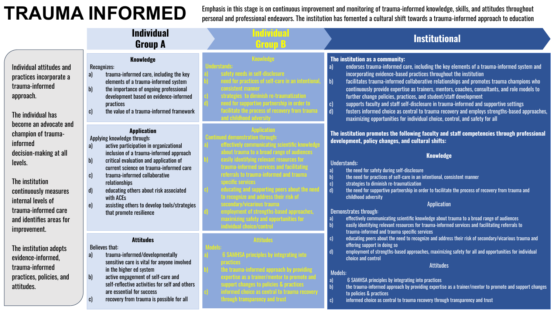## **TRAUMA INFORMED**

Emphasis in this stage is on continuous improvement and monitoring of trauma-informed knowledge, skills, and attitudes throughout personal and professional endeavors. The institution has fomented a cultural shift towards a trauma-informed approach to education

|                                                                                                                                                                                                                                      | <b>Individual</b><br><b>Group A</b>                                                                                                                                                                                                                                                                                                                                                                                                                                                 |                                        | <b>Institutional</b>                                                                                                                                                                                                                                                                                                                                                                                                                                                                                                                                                                                                                                                                                                                                                                                                                           |
|--------------------------------------------------------------------------------------------------------------------------------------------------------------------------------------------------------------------------------------|-------------------------------------------------------------------------------------------------------------------------------------------------------------------------------------------------------------------------------------------------------------------------------------------------------------------------------------------------------------------------------------------------------------------------------------------------------------------------------------|----------------------------------------|------------------------------------------------------------------------------------------------------------------------------------------------------------------------------------------------------------------------------------------------------------------------------------------------------------------------------------------------------------------------------------------------------------------------------------------------------------------------------------------------------------------------------------------------------------------------------------------------------------------------------------------------------------------------------------------------------------------------------------------------------------------------------------------------------------------------------------------------|
| Individual attitudes and<br>practices incorporate a<br>trauma-informed<br>approach.<br>The individual has                                                                                                                            | <b>Knowledge</b><br>Recognizes:<br>trauma-informed care, including the key<br>a)<br>elements of a trauma-informed system<br>the importance of ongoing professional<br>$\mathbf{b}$<br>development based on evidence-informed<br>practices<br>the value of a trauma-informed framework<br>C)                                                                                                                                                                                         | <mark>oportive partnership in o</mark> | The institution as a community:<br>endorses trauma-informed care, including the key elements of a trauma-informed system and<br> a <br>incorporating evidence-based practices throughout the institution<br>facilitates trauma-informed collaborative relationships and promotes trauma champions who<br>  <sub>b</sub>  <br>continuously provide expertise as trainers, mentors, coaches, consultants, and role models to<br>further change policies, practices, and student/staff development<br>supports faculty and staff self-disclosure in trauma-informed and supportive settings<br>  c)<br>$\vert$ d)<br>fosters informed choice as central to trauma recovery and employs strengths-based approaches,<br>maximizing opportunities for individual choice, control, and safety for all                                                 |
| become an advocate and<br>champion of trauma-<br>informed<br>decision-making at all<br>levels.<br>The institution<br>continuously measures<br>internal levels of<br>trauma-informed care<br>and identifies areas for<br>improvement. | <b>Application</b><br>Applying knowledge through:<br>active participation in organizational<br>a)<br>inclusion of a trauma-informed approach<br>critical evaluation and application of<br>$\mathbf{b}$<br>current science on trauma-informed care<br>trauma-informed collaborative<br>$\mathbf{c}$<br>relationships<br>educating others about risk associated<br>$\mathbf{d}$<br>with ACEs<br>assisting others to develop tools/strategies<br>$\epsilon$<br>that promote resilience | lize and address their                 | The institution promotes the following faculty and staff competencies through professional<br>development, policy changes, and cultural shifts:<br><b>Knowledge</b><br><b>Understands:</b><br>the need for safety during self-disclosure<br>a)<br>the need for practices of self-care in an intentional, consistent manner<br>$\vert$ b)<br>strategies to diminish re-traumatization<br> c <br>$\mathbf{d}$<br>the need for supportive partnership in order to facilitate the process of recovery from trauma and<br>childhood adversity<br><b>Application</b><br>Demonstrates through:<br>effectively communicating scientific knowledge about trauma to a broad range of audiences<br>a)<br>easily identifying relevant resources for trauma-informed services and facilitating referrals to<br>trauma-informed and trauma specific services |
| The institution adopts<br>evidence-informed.<br>trauma-informed<br>practices, policies, and<br>attitudes.                                                                                                                            | <b>Attitudes</b><br><b>Believes that:</b><br>trauma-informed/developmentally<br>a)<br>sensitive care is vital for anyone involved<br>in the higher ed system<br>$\mathbf{b}$<br>active engagement of self-care and<br>self-reflective activities for self and others<br>are essential for success<br>recovery from trauma is possible for all                                                                                                                                       |                                        | educating peers about the need to recognize and address their risk of secondary/vicarious trauma and<br>c)<br>offering support in doing so<br>employment of strengths-based approaches, maximizing safety for all and opportunities for individual<br>$\mathbf{d}$<br>choice and control<br><b>Attitudes</b><br><b>Models:</b><br>6 SAMHSA principles by integrating into practices<br>a)<br>the trauma-informed approach by providing expertise as a trainer/mentor to promote and support changes<br>to policies & practices<br>informed choice as central to trauma recovery through transparency and trust<br>I CI                                                                                                                                                                                                                         |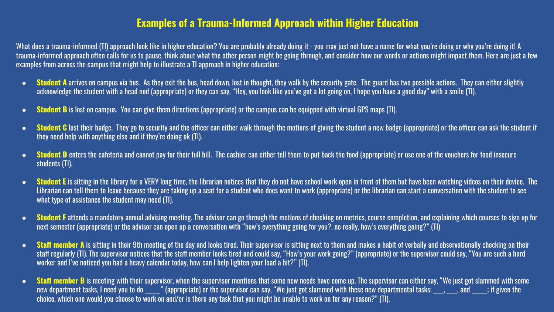#### **Examples of a Trauma-Informed Approach within Higher Education**

What does a trauma-informed (TI) approach look like in higher education? You are probably already doing it - you may just not have a name for what you're doing or why you're doing it! A trauma-informed approach often calls for us to pause, think about what the other person might be going through, and consider how our words or actions might impact them. Here are just a few examples from across the campus that might help to illustrate a TI approach in higher education:

- Student A arrives on campus via bus. As they exit the bus, head down, lost in thought, they walk by the security gate. The guard has two possible actions. They can either slightly acknowledge the student with a head nod (appropriate) or they can say, "Hey, you look like you've got a lot going on, I hope you have a good day" with a smile (TI).
- **Student B** is lost on campus. You can give them directions (appropriate) or the campus can be equipped with virtual GPS maps (TI).
- Student C lost their badge. They go to security and the officer can either walk through the motions of giving the student a new badge (appropriate) or the officer can ask the student if they need help with anything else and if they're doing ok (TI).
- **Student D** enters the cafeteria and cannot pay for their full bill. The cashier can either tell them to put back the food (appropriate) or use one of the vouchers for food insecure students (TI).
- Student E is sitting in the library for a VERY long time, the librarian notices that they do not have school work open in front of them but have been watching videos on their device. The Librarian can tell them to leave because they are taking up a seat for a student who does want to work (appropriate) or the librarian can start a conversation with the student to see what type of assistance the student may need (TI).
- **Student F** attends a mandatory annual advising meeting. The advisor can go through the motions of checking on metrics, course completion, and explaining which courses to sign up for next semester (appropriate) or the advisor can open up a conversation with "how's everything going for you?, no really, how's everything going?" (TI)
- Staff member A is sitting in their 9th meeting of the day and looks tired. Their supervisor is sitting next to them and makes a habit of verbally and observationally checking on their staff regularly (TI). The supervisor notices that the staff member looks tired and could say, "How's your work going?" (appropriate) or the supervisor could say, "You are such a hard worker and I've noticed you had a heavy calendar today, how can I help lighten your load a bit?" (TI).
- **Staff member B** is meeting with their supervisor, when the supervisor mentions that some new needs have come up. The supervisor can either say, "We just got slammed with some new department tasks, I need you to do \_\_\_\_\_" (appropriate) or the supervisor can say, "We just got slammed with these new departmental tasks: \_\_\_, \_\_\_, and \_\_\_\_; if given the choice, which one would you choose to work on and/or is there any task that you might be unable to work on for any reason?" (TI).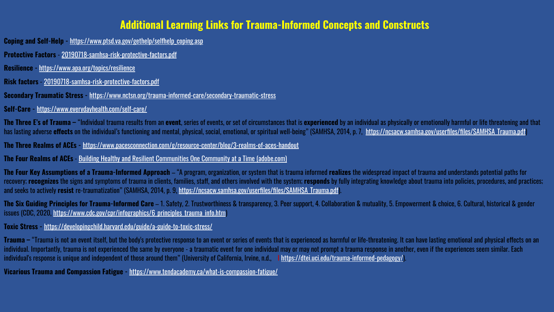#### **Additional Learning Links for Trauma-Informed Concepts and Constructs**

**Coping and Self-Help** - [https://www.ptsd.va.gov/gethelp/selfhelp\\_coping.asp](https://www.ptsd.va.gov/gethelp/selfhelp_coping.asp)

**Protective Factors** - [20190718-samhsa-risk-protective-factors.pdf](https://www.samhsa.gov/sites/default/files/20190718-samhsa-risk-protective-factors.pdf)

**Resilience -** <https://www.apa.org/topics/resilience>

**Risk factors** - [20190718-samhsa-risk-protective-factors.pdf](https://www.samhsa.gov/sites/default/files/20190718-samhsa-risk-protective-factors.pdf)

**Secondary Traumatic Stress -** <https://www.nctsn.org/trauma-informed-care/secondary-traumatic-stress>

**Self-Care -** <https://www.everydayhealth.com/self-care/>

The Three E's of Trauma – "Individual trauma results from an event, series of events, or set of circumstances that is experienced by an individual as physically or emotionally harmful or life threatening and that has lasting adverse **effects** on the individual's functioning and mental, physical, social, emotional, or spiritual well-being" (SAMHSA, 2014, p. 7, https://ncsacw.samhsa.gov/userfiles/files/SAMHSA\_Trauma.pdf

**The Three Realms of ACEs -** <https://www.pacesconnection.com/g/resource-center/blog/3-realms-of-aces-handout>

**The Four Realms of ACEs** - [Building Healthy and Resilient Communities One Community at a Time \(adobe.com\)](https://indd.adobe.com/view/f9cca8b9-d326-4666-99d0-afe7ea06bd73)

**The Four Key Assumptions of a Trauma-Informed Approach** – "A program, organization, or system that is trauma informed **realizes** the widespread impact of trauma and understands potential paths for recovery; recognizes the signs and symptoms of trauma in clients, families, staff, and others involved with the system; responds by fully integrating knowledge about trauma into policies, procedures, and practices; and seeks to actively **resist** re-traumatization" (SAMHSA, 2014, p. 9, [https://ncsacw.samhsa.gov/userfiles/files/SAMHSA\\_Trauma.pdf](https://ncsacw.samhsa.gov/userfiles/files/SAMHSA_Trauma.pdf)).

**The Six Guiding Principles for Trauma-Informed Care** – 1. Safety, 2. Trustworthiness & transparency, 3. Peer support, 4. Collaboration & mutuality, 5. Empowerment & choice, 6. Cultural, historical & gender issues (CDC, 2020, https://www.cdc.gov/cpr/infographics/6 principles\_trauma\_info.htm)

**Toxic Stress -** <https://developingchild.harvard.edu/guide/a-guide-to-toxic-stress/>

**Trauma** – "Trauma is not an event itself, but the body's protective response to an event or series of events that is experienced as harmful or life-threatening. It can have lasting emotional and physical effects on an individual. Importantly, trauma is not experienced the same by everyone - a traumatic event for one individual may or may not prompt a trauma response in another, even if the experiences seem similar. Each individual's response is unique and independent of those around them" (University of California, Irvine, n.d., I [https://dtei.uci.edu/trauma-informed-pedagogy/\)](https://dtei.uci.edu/trauma-informed-pedagogy/).

**Vicarious Trauma and Compassion Fatigue -** <https://www.tendacademy.ca/what-is-compassion-fatigue/>